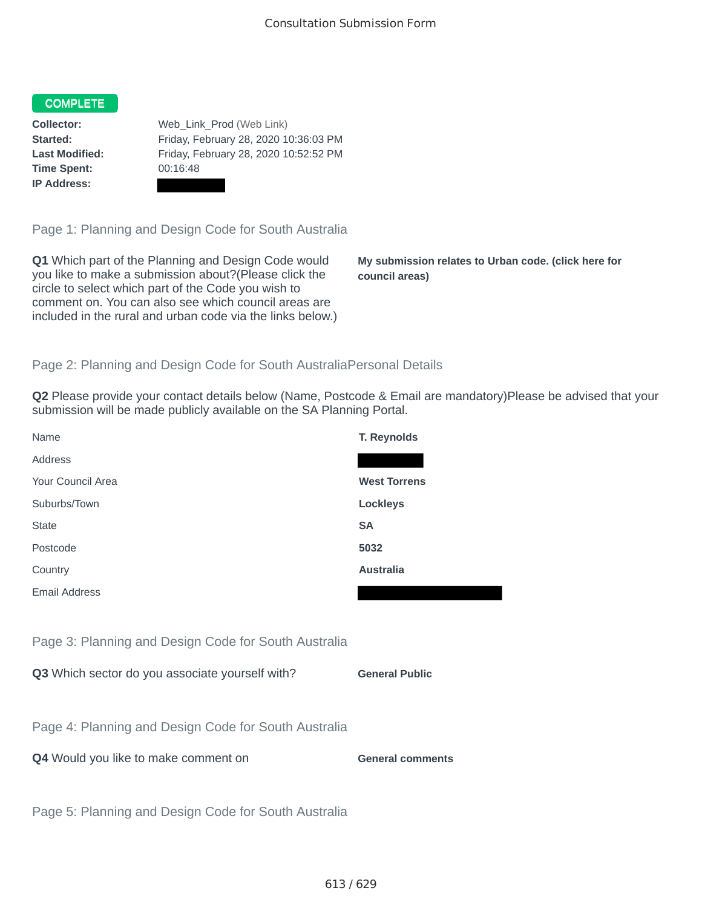## COMPLETE

**Time Spent:** 00:16:48 **IP Address:**

**Collector:** Web\_Link\_Prod (Web Link) **Started:** Friday, February 28, 2020 10:36:03 PM **Last Modified:** Friday, February 28, 2020 10:52:52 PM

Page 1: Planning and Design Code for South Australia

**Q1** Which part of the Planning and Design Code would you like to make a submission about?(Please click the circle to select which part of the Code you wish to comment on. You can also see which council areas are included in the rural and urban code via the links below.)

**My submission relates to Urban code. (click here for council areas)**

٠

## Page 2: Planning and Design Code for South AustraliaPersonal Details

**Q2** Please provide your contact details below (Name, Postcode & Email are mandatory)Please be advised that your submission will be made publicly available on the SA Planning Portal.

| Name                                                 | T. Reynolds             |
|------------------------------------------------------|-------------------------|
| Address                                              |                         |
| Your Council Area                                    | <b>West Torrens</b>     |
| Suburbs/Town                                         | <b>Lockleys</b>         |
| <b>State</b>                                         | <b>SA</b>               |
| Postcode                                             | 5032                    |
| Country                                              | <b>Australia</b>        |
| <b>Email Address</b>                                 |                         |
|                                                      |                         |
| Page 3: Planning and Design Code for South Australia |                         |
| Q3 Which sector do you associate yourself with?      | <b>General Public</b>   |
|                                                      |                         |
| Page 4: Planning and Design Code for South Australia |                         |
| Q4 Would you like to make comment on                 | <b>General comments</b> |
|                                                      |                         |
| Page 5: Planning and Design Code for South Australia |                         |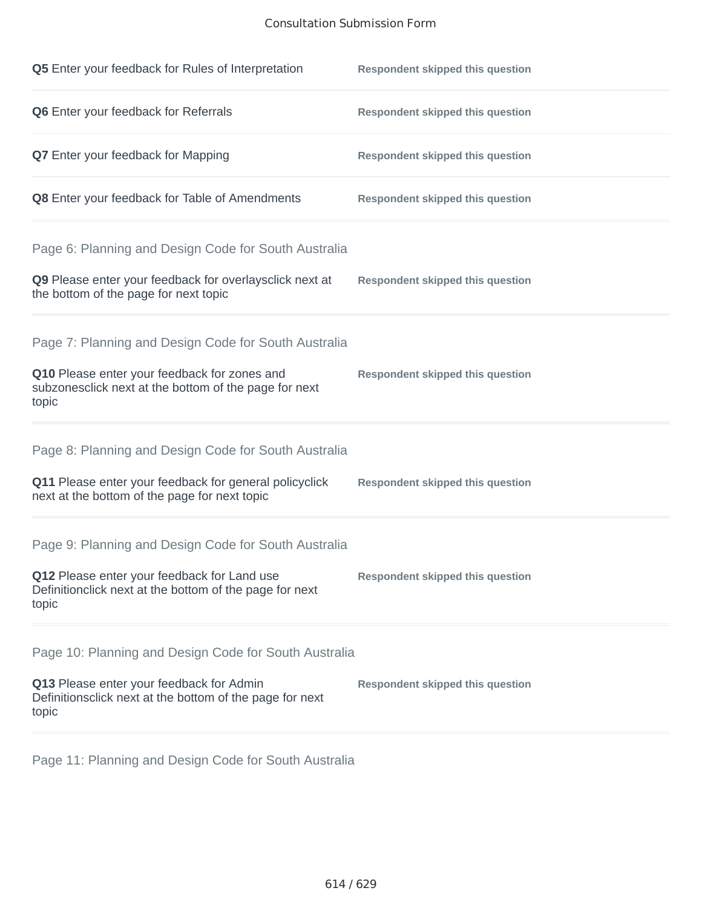## Consultation Submission Form

| Q5 Enter your feedback for Rules of Interpretation                                                              | <b>Respondent skipped this question</b> |
|-----------------------------------------------------------------------------------------------------------------|-----------------------------------------|
| Q6 Enter your feedback for Referrals                                                                            | <b>Respondent skipped this question</b> |
| <b>Q7</b> Enter your feedback for Mapping                                                                       | <b>Respondent skipped this question</b> |
| Q8 Enter your feedback for Table of Amendments                                                                  | <b>Respondent skipped this question</b> |
| Page 6: Planning and Design Code for South Australia                                                            |                                         |
| Q9 Please enter your feedback for overlaysclick next at<br>the bottom of the page for next topic                | <b>Respondent skipped this question</b> |
| Page 7: Planning and Design Code for South Australia                                                            |                                         |
| Q10 Please enter your feedback for zones and<br>subzonesclick next at the bottom of the page for next<br>topic  | <b>Respondent skipped this question</b> |
| Page 8: Planning and Design Code for South Australia                                                            |                                         |
| Q11 Please enter your feedback for general policyclick<br>next at the bottom of the page for next topic         | <b>Respondent skipped this question</b> |
| Page 9: Planning and Design Code for South Australia                                                            |                                         |
| Q12 Please enter your feedback for Land use<br>Definitionclick next at the bottom of the page for next<br>topic | <b>Respondent skipped this question</b> |
| Page 10: Planning and Design Code for South Australia                                                           |                                         |
| Q13 Please enter your feedback for Admin<br>Definitionsclick next at the bottom of the page for next<br>topic   | <b>Respondent skipped this question</b> |

Page 11: Planning and Design Code for South Australia